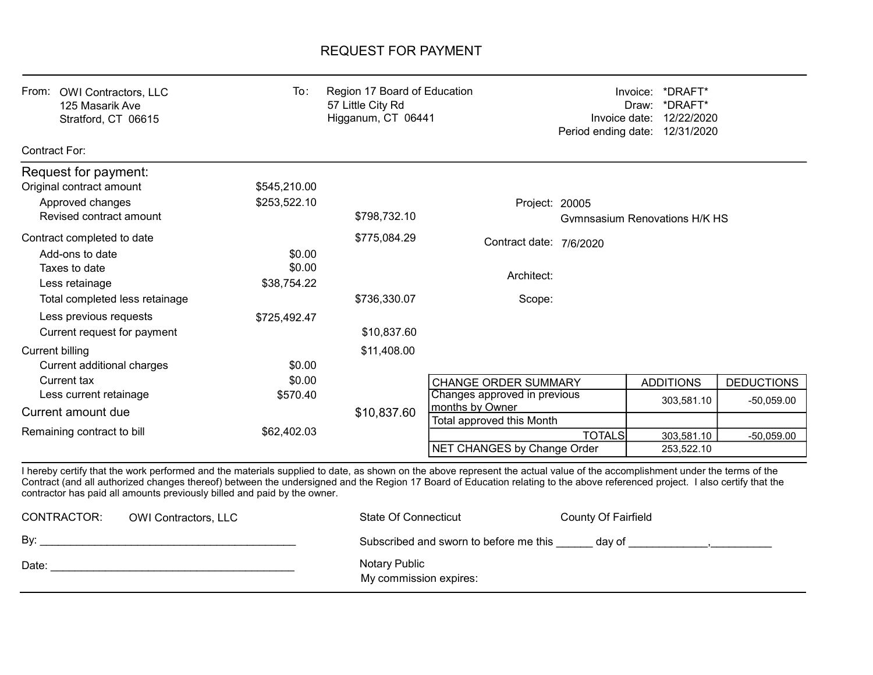## REQUEST FOR PAYMENT

| From:<br><b>OWI Contractors, LLC</b><br>125 Masarik Ave<br>Stratford, CT 06615 | To:                          | Region 17 Board of Education<br>57 Little City Rd<br>Higganum, CT 06441 |                                                 | Invoice:<br>Invoice date: | *DRAFT*<br>*DRAFT*<br>Draw:<br>12/22/2020<br>Period ending date: 12/31/2020 |                   |
|--------------------------------------------------------------------------------|------------------------------|-------------------------------------------------------------------------|-------------------------------------------------|---------------------------|-----------------------------------------------------------------------------|-------------------|
| Contract For:                                                                  |                              |                                                                         |                                                 |                           |                                                                             |                   |
| Request for payment:<br>Original contract amount<br>Approved changes           | \$545,210.00<br>\$253,522.10 |                                                                         | Project: 20005                                  |                           |                                                                             |                   |
| Revised contract amount                                                        |                              | \$798,732.10                                                            |                                                 |                           | Gymnsasium Renovations H/K HS                                               |                   |
| Contract completed to date<br>Add-ons to date                                  | \$0.00                       | \$775,084.29                                                            | Contract date: 7/6/2020                         |                           |                                                                             |                   |
| Taxes to date<br>Less retainage                                                | \$0.00<br>\$38,754.22        |                                                                         | Architect:                                      |                           |                                                                             |                   |
| Total completed less retainage                                                 |                              | \$736,330.07                                                            | Scope:                                          |                           |                                                                             |                   |
| Less previous requests<br>Current request for payment                          | \$725,492.47                 | \$10,837.60                                                             |                                                 |                           |                                                                             |                   |
| <b>Current billing</b><br>Current additional charges                           | \$0.00                       | \$11,408.00                                                             |                                                 |                           |                                                                             |                   |
| Current tax                                                                    | \$0.00                       |                                                                         | <b>CHANGE ORDER SUMMARY</b>                     |                           | <b>ADDITIONS</b>                                                            | <b>DEDUCTIONS</b> |
| Less current retainage<br>Current amount due                                   | \$570.40                     | \$10,837.60                                                             | Changes approved in previous<br>months by Owner |                           | 303,581.10                                                                  | $-50,059.00$      |
|                                                                                |                              |                                                                         | Total approved this Month                       |                           |                                                                             |                   |
| Remaining contract to bill                                                     | \$62,402.03                  |                                                                         | NET CHANGES by Change Order                     | <b>TOTALS</b>             | 303,581.10<br>253,522.10                                                    | $-50,059.00$      |

I hereby certify that the work performed and the materials supplied to date, as shown on the above represent the actual value of the accomplishment under the terms of the Contract (and all authorized changes thereof) between the undersigned and the Region 17 Board of Education relating to the above referenced project. I also certify that the contractor has paid all amounts previously billed and paid by the owner.

| CONTRACTOR: | <b>OWI Contractors, LLC</b> | State Of Connecticut                    | County Of Fairfield |
|-------------|-----------------------------|-----------------------------------------|---------------------|
| By:         |                             | Subscribed and sworn to before me this  | dav of              |
| Date:       |                             | Notary Public<br>My commission expires: |                     |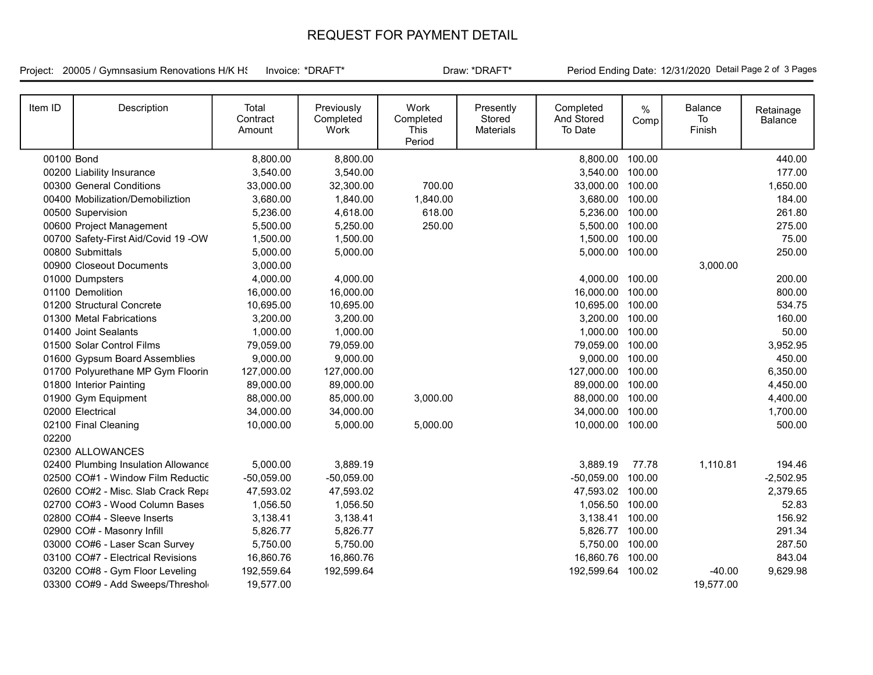## REQUEST FOR PAYMENT DETAIL

Project: 20005 / Gymnsasium Renovations H/K HS

Invoice: \*DRAFT\* The Draw: \*DRAFT\* Period Ending Date: 12/31/2020 Detail Page 2 of 3 Pages

| Item ID    | Description                         | Total<br>Contract<br>Amount | Previously<br>Completed<br>Work | Work<br>Completed<br>This<br>Period | Presently<br>Stored<br><b>Materials</b> | Completed<br>And Stored<br>To Date | $\frac{0}{0}$<br>Comp | Balance<br>To<br>Finish | Retainage<br>Balance |
|------------|-------------------------------------|-----------------------------|---------------------------------|-------------------------------------|-----------------------------------------|------------------------------------|-----------------------|-------------------------|----------------------|
| 00100 Bond |                                     | 8,800.00                    | 8,800.00                        |                                     |                                         | 8,800.00 100.00                    |                       |                         | 440.00               |
|            | 00200 Liability Insurance           | 3,540.00                    | 3,540.00                        |                                     |                                         | 3,540.00 100.00                    |                       |                         | 177.00               |
|            | 00300 General Conditions            | 33,000.00                   | 32,300.00                       | 700.00                              |                                         | 33,000.00 100.00                   |                       |                         | 1,650.00             |
|            | 00400 Mobilization/Demobiliztion    | 3,680.00                    | 1,840.00                        | 1,840.00                            |                                         | 3,680.00 100.00                    |                       |                         | 184.00               |
|            | 00500 Supervision                   | 5,236.00                    | 4,618.00                        | 618.00                              |                                         | 5,236.00 100.00                    |                       |                         | 261.80               |
|            | 00600 Project Management            | 5,500.00                    | 5,250.00                        | 250.00                              |                                         | 5,500.00 100.00                    |                       |                         | 275.00               |
|            | 00700 Safety-First Aid/Covid 19 -OW | 1,500.00                    | 1,500.00                        |                                     |                                         | 1,500.00 100.00                    |                       |                         | 75.00                |
|            | 00800 Submittals                    | 5,000.00                    | 5,000.00                        |                                     |                                         | 5,000.00 100.00                    |                       |                         | 250.00               |
|            | 00900 Closeout Documents            | 3,000.00                    |                                 |                                     |                                         |                                    |                       | 3,000.00                |                      |
|            | 01000 Dumpsters                     | 4,000.00                    | 4,000.00                        |                                     |                                         | 4,000.00 100.00                    |                       |                         | 200.00               |
|            | 01100 Demolition                    | 16,000.00                   | 16,000.00                       |                                     |                                         | 16,000.00 100.00                   |                       |                         | 800.00               |
|            | 01200 Structural Concrete           | 10,695.00                   | 10,695.00                       |                                     |                                         | 10,695.00 100.00                   |                       |                         | 534.75               |
|            | 01300 Metal Fabrications            | 3,200.00                    | 3,200.00                        |                                     |                                         | 3,200.00 100.00                    |                       |                         | 160.00               |
|            | 01400 Joint Sealants                | 1,000.00                    | 1,000.00                        |                                     |                                         | 1,000.00 100.00                    |                       |                         | 50.00                |
|            | 01500 Solar Control Films           | 79,059.00                   | 79,059.00                       |                                     |                                         | 79,059.00 100.00                   |                       |                         | 3,952.95             |
|            | 01600 Gypsum Board Assemblies       | 9,000.00                    | 9,000.00                        |                                     |                                         | 9,000.00 100.00                    |                       |                         | 450.00               |
|            | 01700 Polyurethane MP Gym Floorin   | 127,000.00                  | 127,000.00                      |                                     |                                         | 127,000.00 100.00                  |                       |                         | 6,350.00             |
|            | 01800 Interior Painting             | 89,000.00                   | 89,000.00                       |                                     |                                         | 89,000.00 100.00                   |                       |                         | 4,450.00             |
|            | 01900 Gym Equipment                 | 88,000.00                   | 85,000.00                       | 3,000.00                            |                                         | 88,000.00                          | 100.00                |                         | 4,400.00             |
|            | 02000 Electrical                    | 34,000.00                   | 34,000.00                       |                                     |                                         | 34,000.00                          | 100.00                |                         | 1,700.00             |
|            | 02100 Final Cleaning                | 10,000.00                   | 5,000.00                        | 5,000.00                            |                                         | 10,000.00 100.00                   |                       |                         | 500.00               |
| 02200      |                                     |                             |                                 |                                     |                                         |                                    |                       |                         |                      |
|            | 02300 ALLOWANCES                    |                             |                                 |                                     |                                         |                                    |                       |                         |                      |
|            | 02400 Plumbing Insulation Allowance | 5,000.00                    | 3,889.19                        |                                     |                                         | 3,889.19                           | 77.78                 | 1,110.81                | 194.46               |
|            | 02500 CO#1 - Window Film Reductic   | $-50,059.00$                | $-50,059.00$                    |                                     |                                         | $-50,059.00$                       | 100.00                |                         | $-2,502.95$          |
|            | 02600 CO#2 - Misc. Slab Crack Repa  | 47,593.02                   | 47,593.02                       |                                     |                                         | 47,593.02 100.00                   |                       |                         | 2,379.65             |
|            | 02700 CO#3 - Wood Column Bases      | 1,056.50                    | 1,056.50                        |                                     |                                         | 1,056.50 100.00                    |                       |                         | 52.83                |
|            | 02800 CO#4 - Sleeve Inserts         | 3,138.41                    | 3,138.41                        |                                     |                                         | 3,138.41 100.00                    |                       |                         | 156.92               |
|            | 02900 CO# - Masonry Infill          | 5,826.77                    | 5,826.77                        |                                     |                                         | 5,826.77 100.00                    |                       |                         | 291.34               |
|            | 03000 CO#6 - Laser Scan Survey      | 5,750.00                    | 5,750.00                        |                                     |                                         | 5,750.00 100.00                    |                       |                         | 287.50               |
|            | 03100 CO#7 - Electrical Revisions   | 16,860.76                   | 16,860.76                       |                                     |                                         | 16,860.76                          | 100.00                |                         | 843.04               |
|            | 03200 CO#8 - Gym Floor Leveling     | 192,559.64                  | 192,599.64                      |                                     |                                         | 192,599.64 100.02                  |                       | $-40.00$                | 9,629.98             |
|            | 03300 CO#9 - Add Sweeps/Threshol    | 19,577.00                   |                                 |                                     |                                         |                                    |                       | 19,577.00               |                      |